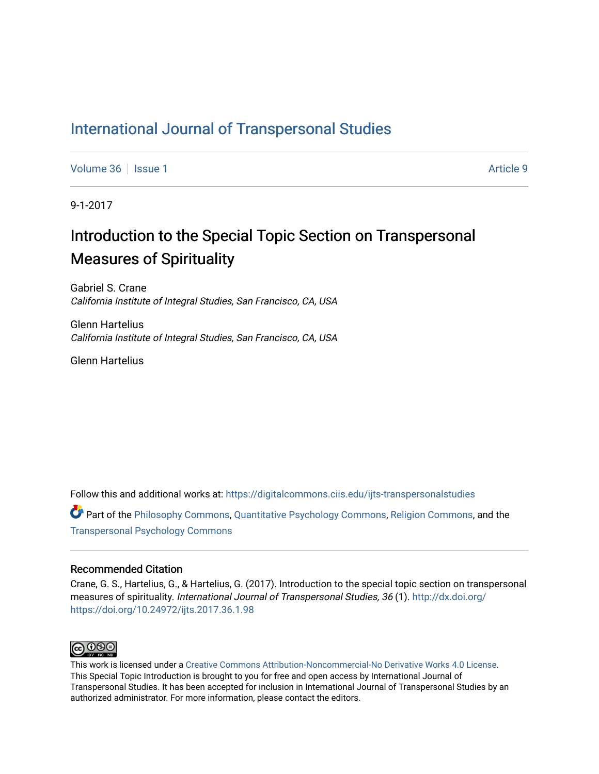### [International Journal of Transpersonal Studies](https://digitalcommons.ciis.edu/ijts-transpersonalstudies)

[Volume 36](https://digitalcommons.ciis.edu/ijts-transpersonalstudies/vol36) | [Issue 1](https://digitalcommons.ciis.edu/ijts-transpersonalstudies/vol36/iss1) Article 9

9-1-2017

# Introduction to the Special Topic Section on Transpersonal Measures of Spirituality

Gabriel S. Crane California Institute of Integral Studies, San Francisco, CA, USA

Glenn Hartelius California Institute of Integral Studies, San Francisco, CA, USA

Glenn Hartelius

Follow this and additional works at: [https://digitalcommons.ciis.edu/ijts-transpersonalstudies](https://digitalcommons.ciis.edu/ijts-transpersonalstudies?utm_source=digitalcommons.ciis.edu%2Fijts-transpersonalstudies%2Fvol36%2Fiss1%2F9&utm_medium=PDF&utm_campaign=PDFCoverPages) 

Part of the [Philosophy Commons,](http://network.bepress.com/hgg/discipline/525?utm_source=digitalcommons.ciis.edu%2Fijts-transpersonalstudies%2Fvol36%2Fiss1%2F9&utm_medium=PDF&utm_campaign=PDFCoverPages) [Quantitative Psychology Commons,](http://network.bepress.com/hgg/discipline/1041?utm_source=digitalcommons.ciis.edu%2Fijts-transpersonalstudies%2Fvol36%2Fiss1%2F9&utm_medium=PDF&utm_campaign=PDFCoverPages) [Religion Commons,](http://network.bepress.com/hgg/discipline/538?utm_source=digitalcommons.ciis.edu%2Fijts-transpersonalstudies%2Fvol36%2Fiss1%2F9&utm_medium=PDF&utm_campaign=PDFCoverPages) and the [Transpersonal Psychology Commons](http://network.bepress.com/hgg/discipline/1388?utm_source=digitalcommons.ciis.edu%2Fijts-transpersonalstudies%2Fvol36%2Fiss1%2F9&utm_medium=PDF&utm_campaign=PDFCoverPages) 

#### Recommended Citation

Crane, G. S., Hartelius, G., & Hartelius, G. (2017). Introduction to the special topic section on transpersonal measures of spirituality. International Journal of Transpersonal Studies, 36 (1). [http://dx.doi.org/](http://dx.doi.org/https://doi.org/10.24972/ijts.2017.36.1.98) [https://doi.org/10.24972/ijts.2017.36.1.98](http://dx.doi.org/https://doi.org/10.24972/ijts.2017.36.1.98) 



This work is licensed under a [Creative Commons Attribution-Noncommercial-No Derivative Works 4.0 License.](https://creativecommons.org/licenses/by-nc-nd/4.0/) This Special Topic Introduction is brought to you for free and open access by International Journal of Transpersonal Studies. It has been accepted for inclusion in International Journal of Transpersonal Studies by an authorized administrator. For more information, please contact the editors.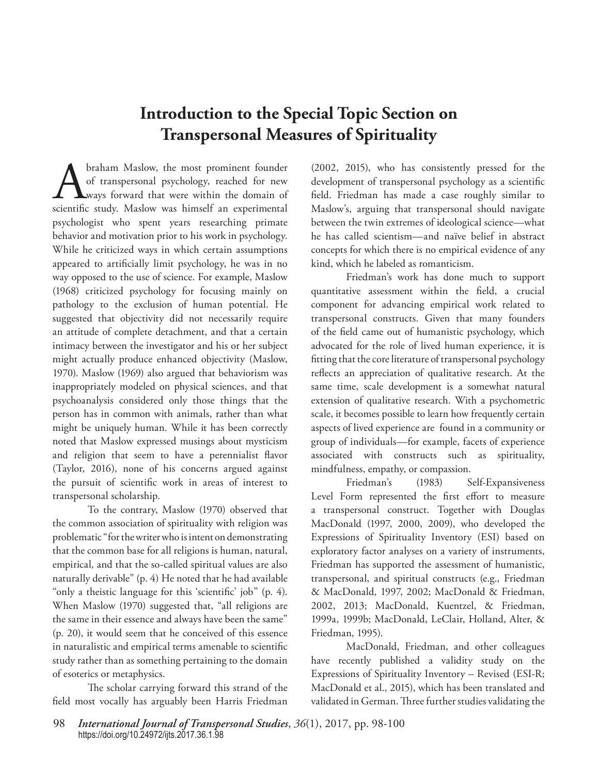## **Introduction to the Special Topic Section on Transpersonal Measures of Spirituality**

Abraham Maslow, the most prominent founder<br>of transpersonal psychology, reached for new<br>scientific study. Maslow was himself an experimental of transpersonal psychology, reached for new ways forward that were within the domain of psychologist who spent years researching primate behavior and motivation prior to his work in psychology. While he criticized ways in which certain assumptions appeared to artificially limit psychology, he was in no way opposed to the use of science. For example, Maslow (1968) criticized psychology for focusing mainly on pathology to the exclusion of human potential. He suggested that objectivity did not necessarily require an attitude of complete detachment, and that a certain intimacy between the investigator and his or her subject might actually produce enhanced objectivity (Maslow, 1970). Maslow (1969) also argued that behaviorism was inappropriately modeled on physical sciences, and that psychoanalysis considered only those things that the person has in common with animals, rather than what might be uniquely human. While it has been correctly noted that Maslow expressed musings about mysticism and religion that seem to have a perennialist flavor (Taylor, 2016), none of his concerns argued against the pursuit of scientific work in areas of interest to transpersonal scholarship.

To the contrary, Maslow (1970) observed that the common association of spirituality with religion was problematic "for the writer who is intent on demonstrating that the common base for all religions is human, natural, empirical, and that the so-called spiritual values are also naturally derivable" (p. 4) He noted that he had available "only a theistic language for this 'scientific' job" (p. 4). When Maslow (1970) suggested that, "all religions are the same in their essence and always have been the same" (p. 20), it would seem that he conceived of this essence in naturalistic and empirical terms amenable to scientific study rather than as something pertaining to the domain of esoterics or metaphysics.

The scholar carrying forward this strand of the field most vocally has arguably been Harris Friedman

(2002, 2015), who has consistently pressed for the development of transpersonal psychology as a scientific field. Friedman has made a case roughly similar to Maslow's, arguing that transpersonal should navigate between the twin extremes of ideological science—what he has called scientism—and naïve belief in abstract concepts for which there is no empirical evidence of any kind, which he labeled as romanticism.

Friedman's work has done much to support quantitative assessment within the field, a crucial component for advancing empirical work related to transpersonal constructs. Given that many founders of the field came out of humanistic psychology, which advocated for the role of lived human experience, it is fitting that the core literature of transpersonal psychology reflects an appreciation of qualitative research. At the same time, scale development is a somewhat natural extension of qualitative research. With a psychometric scale, it becomes possible to learn how frequently certain aspects of lived experience are found in a community or group of individuals—for example, facets of experience associated with constructs such as spirituality, mindfulness, empathy, or compassion.

Friedman's (1983) Self-Expansiveness Level Form represented the first effort to measure a transpersonal construct. Together with Douglas MacDonald (1997, 2000, 2009), who developed the Expressions of Spirituality Inventory (ESI) based on exploratory factor analyses on a variety of instruments, Friedman has supported the assessment of humanistic, transpersonal, and spiritual constructs (e.g., Friedman & MacDonald, 1997, 2002; MacDonald & Friedman, 2002, 2013; MacDonald, Kuentzel, & Friedman, 1999a, 1999b; MacDonald, LeClair, Holland, Alter, & Friedman, 1995).

MacDonald, Friedman, and other colleagues have recently published a validity study on the Expressions of Spirituality Inventory – Revised (ESI-R; MacDonald et al., 2015), which has been translated and validated in German. Three further studies validating the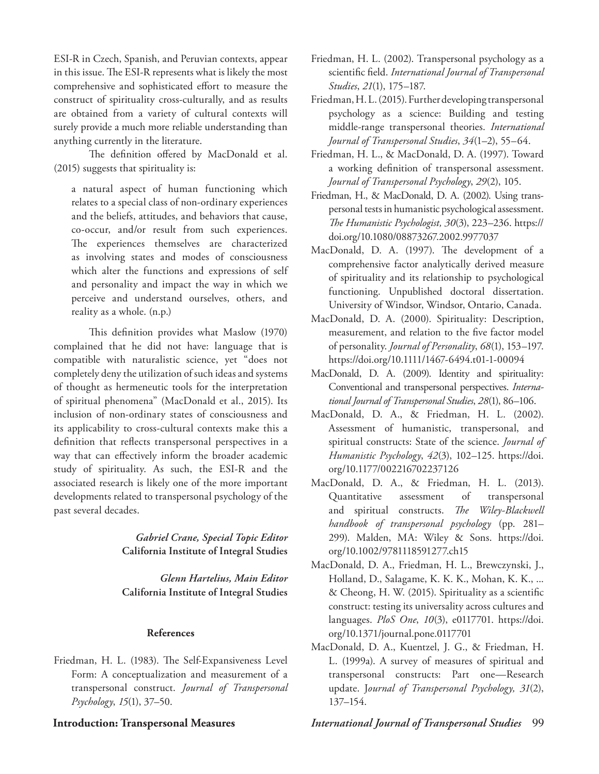ESI-R in Czech, Spanish, and Peruvian contexts, appear in this issue. The ESI-R represents what is likely the most comprehensive and sophisticated effort to measure the construct of spirituality cross-culturally, and as results are obtained from a variety of cultural contexts will surely provide a much more reliable understanding than anything currently in the literature.

The definition offered by MacDonald et al. (2015) suggests that spirituality is:

a natural aspect of human functioning which relates to a special class of non-ordinary experiences and the beliefs, attitudes, and behaviors that cause, co-occur, and/or result from such experiences. The experiences themselves are characterized as involving states and modes of consciousness which alter the functions and expressions of self and personality and impact the way in which we perceive and understand ourselves, others, and reality as a whole. (n.p.)

This definition provides what Maslow (1970) complained that he did not have: language that is compatible with naturalistic science, yet "does not completely deny the utilization of such ideas and systems of thought as hermeneutic tools for the interpretation of spiritual phenomena" (MacDonald et al., 2015). Its inclusion of non-ordinary states of consciousness and its applicability to cross-cultural contexts make this a definition that reflects transpersonal perspectives in a way that can effectively inform the broader academic study of spirituality. As such, the ESI-R and the associated research is likely one of the more important developments related to transpersonal psychology of the past several decades.

> *Gabriel Crane, Special Topic Editor* **California Institute of Integral Studies**

> *Glenn Hartelius, Main Editor* **California Institute of Integral Studies**

#### **References**

Friedman, H. L. (1983). The Self-Expansiveness Level Form: A conceptualization and measurement of a transpersonal construct. *Journal of Transpersonal Psychology*, *15*(1), 37–50.

- Friedman, H. L. (2002). Transpersonal psychology as a scientific field. *International Journal of Transpersonal Studies*, *21*(1), 175–187.
- Friedman, H. L. (2015). Further developing transpersonal psychology as a science: Building and testing middle-range transpersonal theories. *International Journal of Transpersonal Studies*, *34*(1–2), 55–64.
- Friedman, H. L., & MacDonald, D. A. (1997). Toward a working definition of transpersonal assessment. *Journal of Transpersonal Psychology*, *29*(2), 105.
- Friedman, H., & MacDonald, D. A. (2002). Using transpersonal tests in humanistic psychological assessment. *The Humanistic Psychologist, 30*(3), 223–236. https:// doi.org/10.1080/08873267.2002.9977037
- MacDonald, D. A. (1997). The development of a comprehensive factor analytically derived measure of spirituality and its relationship to psychological functioning. Unpublished doctoral dissertation. University of Windsor, Windsor, Ontario, Canada.
- MacDonald, D. A. (2000). Spirituality: Description, measurement, and relation to the five factor model of personality. *Journal of Personality*, *68*(1), 153–197. https://doi.org/10.1111/1467-6494.t01-1-00094
- MacDonald, D. A. (2009). Identity and spirituality: Conventional and transpersonal perspectives. *International Journal of Transpersonal Studies*, *28*(1), 86–106.
- MacDonald, D. A., & Friedman, H. L. (2002). Assessment of humanistic, transpersonal, and spiritual constructs: State of the science. *Journal of Humanistic Psychology*, *42*(3), 102–125. https://doi. org/10.1177/002216702237126
- MacDonald, D. A., & Friedman, H. L. (2013). Quantitative assessment of transpersonal and spiritual constructs. *The Wiley-Blackwell handbook of transpersonal psychology* (pp. 281– 299). Malden, MA: Wiley & Sons. https://doi. org/10.1002/9781118591277.ch15
- MacDonald, D. A., Friedman, H. L., Brewczynski, J., Holland, D., Salagame, K. K. K., Mohan, K. K., ... & Cheong, H. W. (2015). Spirituality as a scientific construct: testing its universality across cultures and languages. *PloS One*, *10*(3), e0117701. https://doi. org/10.1371/journal.pone.0117701
- MacDonald, D. A., Kuentzel, J. G., & Friedman, H. L. (1999a). A survey of measures of spiritual and transpersonal constructs: Part one—Research update. J*ournal of Transpersonal Psychology, 31*(2), 137–154.

### **Introduction: Transpersonal Measures** *International Journal of Transpersonal Studies* 99